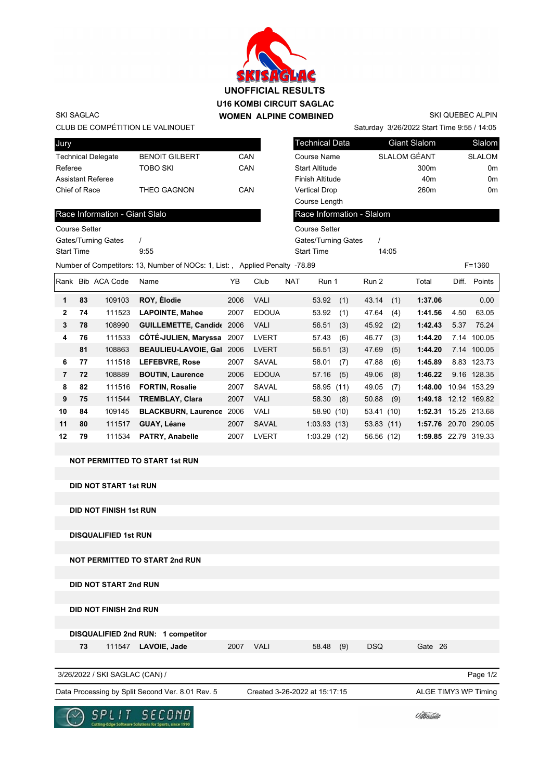

SKI QUEBEC ALPIN

Saturday 3/26/2022 Start Time 9:55 / 14:05

Course Setter

CLUB DE COMPÉTITION LE VALINOUET

Race Information - Giant Slalo

Gates/Turning Gates / Start Time 9:55

| Jury               |                       |     | <b>Technical Data</b>  | Giant Slalom     | Slalom        |
|--------------------|-----------------------|-----|------------------------|------------------|---------------|
| Technical Delegate | <b>BENOIT GILBERT</b> | CAN | Course Name            | SLALOM GÉANT     | <b>SLALOM</b> |
| Referee            | TOBO SKI              | CAN | <b>Start Altitude</b>  | 300 <sub>m</sub> | 0m            |
| Assistant Referee  |                       |     | <b>Finish Altitude</b> | 40 <sub>m</sub>  | 0m            |
| Chief of Race      | <b>THEO GAGNON</b>    | CAN | <b>Vertical Drop</b>   | 260 <sub>m</sub> | 0m            |
|                    |                       |     | Course Length          |                  |               |

## Race Information - Slalom

Gates/Turning Gates / Course Setter

Start Time 14:05

Number of Competitors: 13, Number of NOCs: 1, List: , Applied Penalty -78.89 F=1360

| Rank           |    | <b>Bib ACA Code</b> | Name                        | YΒ   | Club         | <b>NAT</b> | Run 1       |     | Run 2      |     | Total                | Diff. | Points       |
|----------------|----|---------------------|-----------------------------|------|--------------|------------|-------------|-----|------------|-----|----------------------|-------|--------------|
| 1              | 83 | 109103              | ROY, Élodie                 | 2006 | <b>VALI</b>  |            | 53.92       | (1) | 43.14      | (1) | 1:37.06              |       | 0.00         |
| $\mathbf{2}$   | 74 | 111523              | <b>LAPOINTE, Mahee</b>      | 2007 | <b>EDOUA</b> |            | 53.92       | (1) | 47.64      | (4) | 1:41.56              | 4.50  | 63.05        |
| 3              | 78 | 108990              | <b>GUILLEMETTE, Candide</b> | 2006 | <b>VALI</b>  |            | 56.51       | (3) | 45.92      | (2) | 1:42.43              | 5.37  | 75.24        |
| 4              | 76 | 111533              | CÔTÉ-JULIEN, Maryssa        | 2007 | <b>LVERT</b> |            | 57.43       | (6) | 46.77      | (3) | 1:44.20              |       | 7.14 100.05  |
|                | 81 | 108863              | <b>BEAULIEU-LAVOIE, Gal</b> | 2006 | <b>LVERT</b> |            | 56.51       | (3) | 47.69      | (5) | 1:44.20              |       | 7.14 100.05  |
| 6              | 77 | 111518              | <b>LEFEBVRE, Rose</b>       | 2007 | SAVAL        |            | 58.01       | (7) | 47.88      | (6) | 1:45.89              |       | 8.83 123.73  |
| $\overline{7}$ | 72 | 108889              | <b>BOUTIN, Laurence</b>     | 2006 | <b>EDOUA</b> |            | 57.16       | (5) | 49.06      | (8) | 1:46.22              |       | 9.16 128.35  |
| 8              | 82 | 111516              | <b>FORTIN, Rosalie</b>      | 2007 | SAVAL        |            | 58.95 (11)  |     | 49.05      | (7) | 1:48.00              |       | 10.94 153.29 |
| 9              | 75 | 111544              | <b>TREMBLAY, Clara</b>      | 2007 | <b>VALI</b>  |            | 58.30       | (8) | 50.88      | (9) | 1:49.18 12.12 169.82 |       |              |
| 10             | 84 | 109145              | <b>BLACKBURN, Laurence</b>  | 2006 | <b>VALI</b>  |            | 58.90 (10)  |     | 53.41 (10) |     | 1:52.31              |       | 15.25 213.68 |
| 11             | 80 | 111517              | GUAY, Léane                 | 2007 | SAVAL        |            | 1:03.93(13) |     | 53.83(11)  |     | 1:57.76 20.70 290.05 |       |              |
| 12             | 79 | 111534              | PATRY, Anabelle             | 2007 | <b>LVERT</b> |            | 1:03.29(12) |     | 56.56 (12) |     | 1:59.85 22.79 319.33 |       |              |

**NOT PERMITTED TO START 1st RUN**

**DID NOT START 1st RUN**

**DID NOT FINISH 1st RUN**

**DISQUALIFIED 1st RUN**

**NOT PERMITTED TO START 2nd RUN**

**DID NOT START 2nd RUN**

**DID NOT FINISH 2nd RUN**

**DISQUALIFIED 2nd RUN: 1 competitor**

 **73** 111547 **LAVOIE, Jade** 2007 VALI 58.48 (9) DSQ Gate 26

3/26/2022 / SKI SAGLAC (CAN) /

Data Processing by Split Second Ver. 8.01 Rev. 5 Created 3-26-2022 at 15:17:15 ALGE TIMY3 WP Timing

Created 3-26-2022 at 15:17:15

Page 1/2



*Udlinouët*